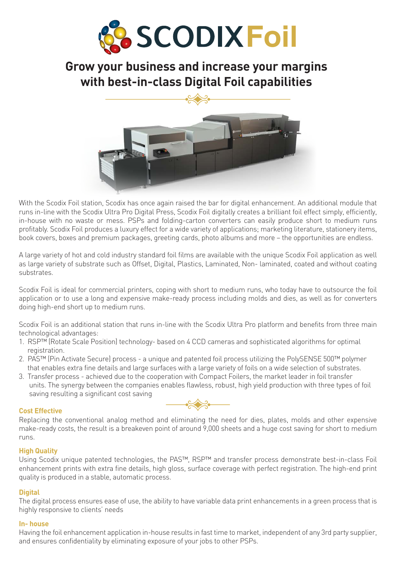

# **Grow your business and increase your margins with best-in-class Digital Foil capabilities**



With the Scodix Foil station, Scodix has once again raised the bar for digital enhancement. An additional module that runs in-line with the Scodix Ultra Pro Digital Press, Scodix Foil digitally creates a brilliant foil effect simply, efficiently, in-house with no waste or mess. PSPs and folding-carton converters can easily produce short to medium runs profitably. Scodix Foil produces a luxury effect for a wide variety of applications; marketing literature, stationery items, book covers, boxes and premium packages, greeting cards, photo albums and more – the opportunities are endless.

A large variety of hot and cold industry standard foil films are available with the unique Scodix Foil application as well as large variety of substrate such as Offset, Digital, Plastics, Laminated, Non- laminated, coated and without coating substrates.

Scodix Foil is ideal for commercial printers, coping with short to medium runs, who today have to outsource the foil application or to use a long and expensive make-ready process including molds and dies, as well as for converters doing high-end short up to medium runs.

Scodix Foil is an additional station that runs in-line with the Scodix Ultra Pro platform and benefits from three main technological advantages:

- 1. RSP™ (Rotate Scale Position) technology- based on 4 CCD cameras and sophisticated algorithms for optimal registration.
- 2. PAS™ (Pin Activate Secure) process a unique and patented foil process utilizing the PolySENSE 500™ polymer that enables extra fine details and large surfaces with a large variety of foils on a wide selection of substrates.
- 3. Transfer process achieved due to the cooperation with Compact Foilers, the market leader in foil transfer units. The synergy between the companies enables flawless, robust, high yield production with three types of foil saving resulting a significant cost saving

## **Cost Effective**



Replacing the conventional analog method and eliminating the need for dies, plates, molds and other expensive make-ready costs, the result is a breakeven point of around 9,000 sheets and a huge cost saving for short to medium runs.

## **High Quality**

Using Scodix unique patented technologies, the PAS™, RSP™ and transfer process demonstrate best-in-class Foil enhancement prints with extra fine details, high gloss, surface coverage with perfect registration. The high-end print quality is produced in a stable, automatic process.

## **Digital**

The digital process ensures ease of use, the ability to have variable data print enhancements in a green process that is highly responsive to clients' needs

### **In- house**

Having the foil enhancement application in-house results in fast time to market, independent of any 3rd party supplier, and ensures confidentiality by eliminating exposure of your jobs to other PSPs.